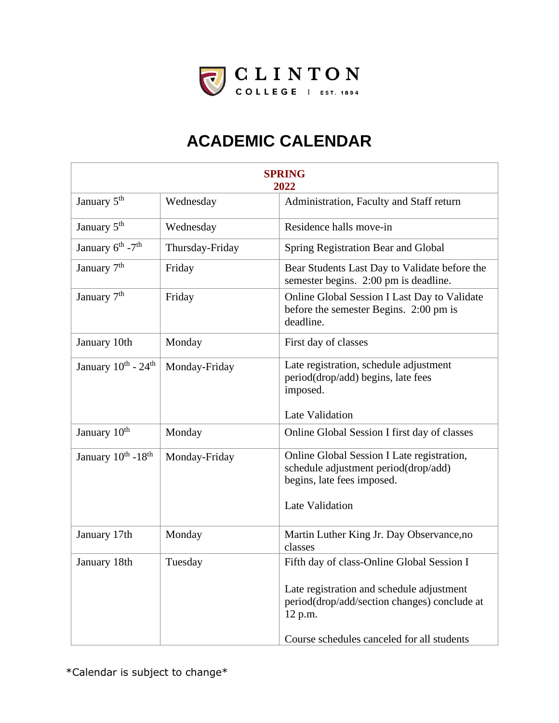

| <b>SPRING</b><br>2022                     |                 |                                                                                                                  |
|-------------------------------------------|-----------------|------------------------------------------------------------------------------------------------------------------|
| January 5 <sup>th</sup>                   | Wednesday       | Administration, Faculty and Staff return                                                                         |
| January 5 <sup>th</sup>                   | Wednesday       | Residence halls move-in                                                                                          |
| January 6 <sup>th</sup> - 7 <sup>th</sup> | Thursday-Friday | Spring Registration Bear and Global                                                                              |
| January 7 <sup>th</sup>                   | Friday          | Bear Students Last Day to Validate before the<br>semester begins. 2:00 pm is deadline.                           |
| January 7 <sup>th</sup>                   | Friday          | Online Global Session I Last Day to Validate<br>before the semester Begins. 2:00 pm is<br>deadline.              |
| January 10th                              | Monday          | First day of classes                                                                                             |
| January $10^{th}$ - $24^{th}$             | Monday-Friday   | Late registration, schedule adjustment<br>period(drop/add) begins, late fees<br>imposed.                         |
|                                           |                 | Late Validation                                                                                                  |
| January 10 <sup>th</sup>                  | Monday          | Online Global Session I first day of classes                                                                     |
| January $10^{th}$ -18 <sup>th</sup>       | Monday-Friday   | Online Global Session I Late registration,<br>schedule adjustment period(drop/add)<br>begins, late fees imposed. |
|                                           |                 | Late Validation                                                                                                  |
| January 17th                              | Monday          | Martin Luther King Jr. Day Observance, no<br>classes                                                             |
| January 18th                              | Tuesday         | Fifth day of class-Online Global Session I                                                                       |
|                                           |                 | Late registration and schedule adjustment<br>period(drop/add/section changes) conclude at<br>12 p.m.             |
|                                           |                 | Course schedules canceled for all students                                                                       |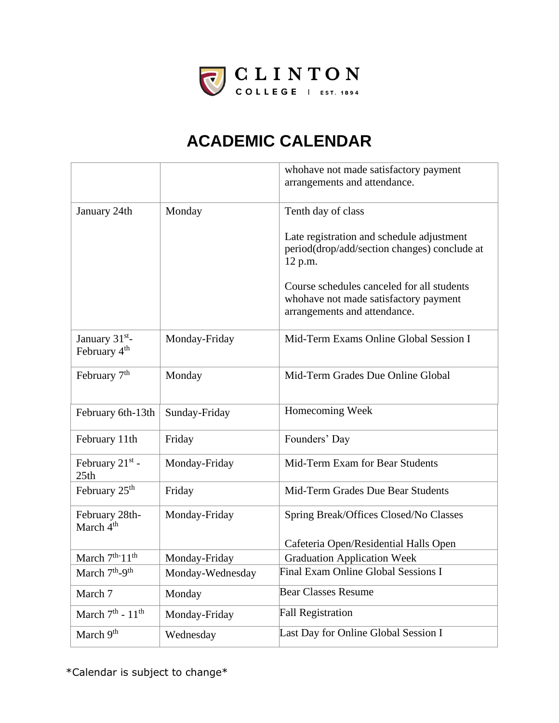

|                                                        |                  | whohave not made satisfactory payment<br>arrangements and attendance.                                               |
|--------------------------------------------------------|------------------|---------------------------------------------------------------------------------------------------------------------|
|                                                        |                  |                                                                                                                     |
| January 24th                                           | Monday           | Tenth day of class                                                                                                  |
|                                                        |                  | Late registration and schedule adjustment<br>period(drop/add/section changes) conclude at<br>12 p.m.                |
|                                                        |                  | Course schedules canceled for all students<br>whohave not made satisfactory payment<br>arrangements and attendance. |
| January 31 <sup>st</sup> -<br>February 4 <sup>th</sup> | Monday-Friday    | Mid-Term Exams Online Global Session I                                                                              |
| February 7 <sup>th</sup>                               | Monday           | Mid-Term Grades Due Online Global                                                                                   |
| February 6th-13th                                      | Sunday-Friday    | Homecoming Week                                                                                                     |
| February 11th                                          | Friday           | Founders' Day                                                                                                       |
| February $21st$ -<br>25th                              | Monday-Friday    | Mid-Term Exam for Bear Students                                                                                     |
| February $25th$                                        | Friday           | Mid-Term Grades Due Bear Students                                                                                   |
| February 28th-<br>March $4th$                          | Monday-Friday    | Spring Break/Offices Closed/No Classes                                                                              |
|                                                        |                  | Cafeteria Open/Residential Halls Open                                                                               |
| March 7 <sup>th-</sup> 11 <sup>th</sup>                | Monday-Friday    | <b>Graduation Application Week</b>                                                                                  |
| March 7 <sup>th</sup> -9 <sup>th</sup>                 | Monday-Wednesday | Final Exam Online Global Sessions I                                                                                 |
| March 7                                                | Monday           | <b>Bear Classes Resume</b>                                                                                          |
| March $7th$ - $11th$                                   | Monday-Friday    | <b>Fall Registration</b>                                                                                            |
| March 9 <sup>th</sup>                                  | Wednesday        | Last Day for Online Global Session I                                                                                |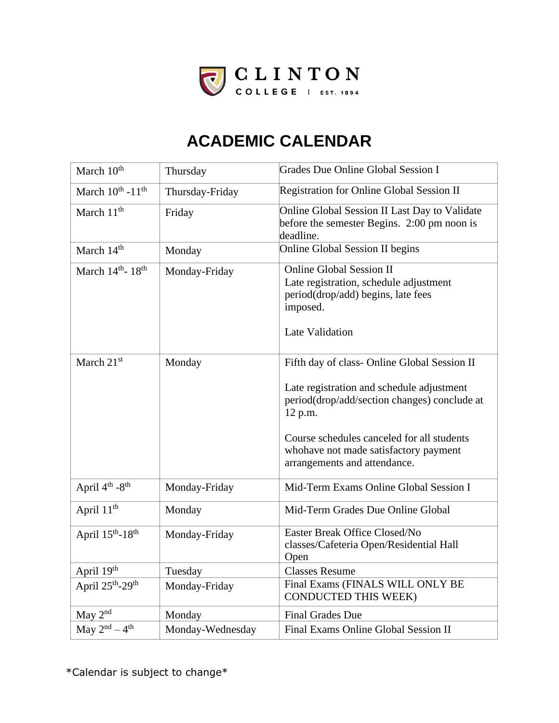

| March 10 <sup>th</sup>                   | Thursday         | Grades Due Online Global Session I                                                                                                                                                                                          |
|------------------------------------------|------------------|-----------------------------------------------------------------------------------------------------------------------------------------------------------------------------------------------------------------------------|
| March $10^{th}$ - $11^{th}$              | Thursday-Friday  | Registration for Online Global Session II                                                                                                                                                                                   |
| March 11 <sup>th</sup>                   | Friday           | Online Global Session II Last Day to Validate<br>before the semester Begins. 2:00 pm noon is<br>deadline.                                                                                                                   |
| March 14 <sup>th</sup>                   | Monday           | Online Global Session II begins                                                                                                                                                                                             |
| March $14th$ - $18th$                    | Monday-Friday    | <b>Online Global Session II</b><br>Late registration, schedule adjustment<br>period(drop/add) begins, late fees<br>imposed.<br>Late Validation                                                                              |
| March 21st                               | Monday           | Fifth day of class- Online Global Session II                                                                                                                                                                                |
|                                          |                  | Late registration and schedule adjustment<br>period(drop/add/section changes) conclude at<br>12 p.m.<br>Course schedules canceled for all students<br>whohave not made satisfactory payment<br>arrangements and attendance. |
| April 4 <sup>th</sup> -8 <sup>th</sup>   | Monday-Friday    | Mid-Term Exams Online Global Session I                                                                                                                                                                                      |
| April $11th$                             | Monday           | Mid-Term Grades Due Online Global                                                                                                                                                                                           |
| April $15^{th}$ -18 <sup>th</sup>        | Monday-Friday    | Easter Break Office Closed/No<br>classes/Cafeteria Open/Residential Hall<br>Open                                                                                                                                            |
| April 19th                               | Tuesday          | <b>Classes Resume</b>                                                                                                                                                                                                       |
| April 25 <sup>th</sup> -29 <sup>th</sup> | Monday-Friday    | Final Exams (FINALS WILL ONLY BE<br><b>CONDUCTED THIS WEEK)</b>                                                                                                                                                             |
| May 2 <sup>nd</sup>                      | Monday           | <b>Final Grades Due</b>                                                                                                                                                                                                     |
| May $2^{nd} - 4^{th}$                    | Monday-Wednesday | Final Exams Online Global Session II                                                                                                                                                                                        |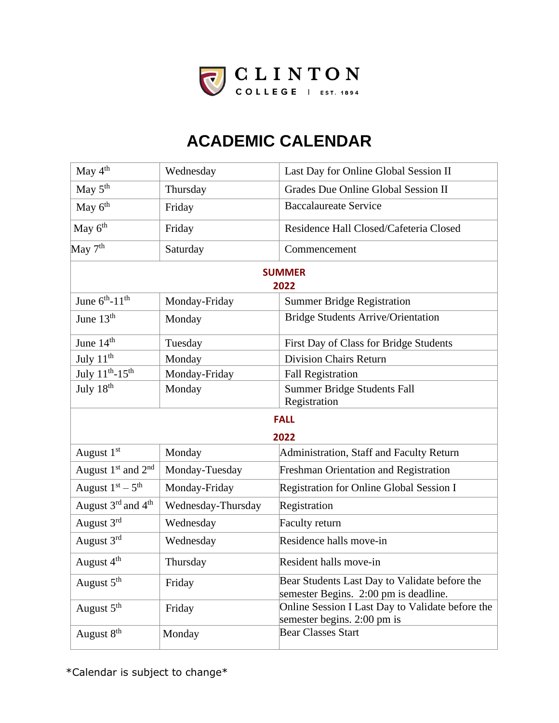

| May 4 <sup>th</sup>                        | Wednesday          | Last Day for Online Global Session II                                                  |
|--------------------------------------------|--------------------|----------------------------------------------------------------------------------------|
| May 5 <sup>th</sup>                        | Thursday           | Grades Due Online Global Session II                                                    |
| May 6 <sup>th</sup>                        | Friday             | <b>Baccalaureate Service</b>                                                           |
| May 6 <sup>th</sup>                        | Friday             | Residence Hall Closed/Cafeteria Closed                                                 |
| May $7th$                                  | Saturday           | Commencement                                                                           |
|                                            |                    | <b>SUMMER</b><br>2022                                                                  |
| June $6^{th}$ -11 <sup>th</sup>            | Monday-Friday      | <b>Summer Bridge Registration</b>                                                      |
| June 13 <sup>th</sup>                      | Monday             | <b>Bridge Students Arrive/Orientation</b>                                              |
| June 14 <sup>th</sup>                      | Tuesday            | First Day of Class for Bridge Students                                                 |
| July 11 <sup>th</sup>                      | Monday             | <b>Division Chairs Return</b>                                                          |
| July $11^{th} - 15^{th}$                   | Monday-Friday      | <b>Fall Registration</b>                                                               |
| July 18 <sup>th</sup>                      | Monday             | Summer Bridge Students Fall<br>Registration                                            |
| <b>FALL</b>                                |                    |                                                                                        |
| 2022                                       |                    |                                                                                        |
| August 1 <sup>st</sup>                     | Monday             | Administration, Staff and Faculty Return                                               |
| August $1st$ and $2nd$                     | Monday-Tuesday     | <b>Freshman Orientation and Registration</b>                                           |
| August $1st - 5th$                         | Monday-Friday      | Registration for Online Global Session I                                               |
| August 3 <sup>rd</sup> and 4 <sup>th</sup> | Wednesday-Thursday | Registration                                                                           |
| August 3rd                                 | Wednesday          | Faculty return                                                                         |
| August 3rd                                 | Wednesday          | Residence halls move-in                                                                |
| August 4 <sup>th</sup>                     | Thursday           | Resident halls move-in                                                                 |
| August 5 <sup>th</sup>                     | Friday             | Bear Students Last Day to Validate before the<br>semester Begins. 2:00 pm is deadline. |
| August 5 <sup>th</sup>                     | Friday             | Online Session I Last Day to Validate before the<br>semester begins. 2:00 pm is        |
| August 8 <sup>th</sup>                     | Monday             | <b>Bear Classes Start</b>                                                              |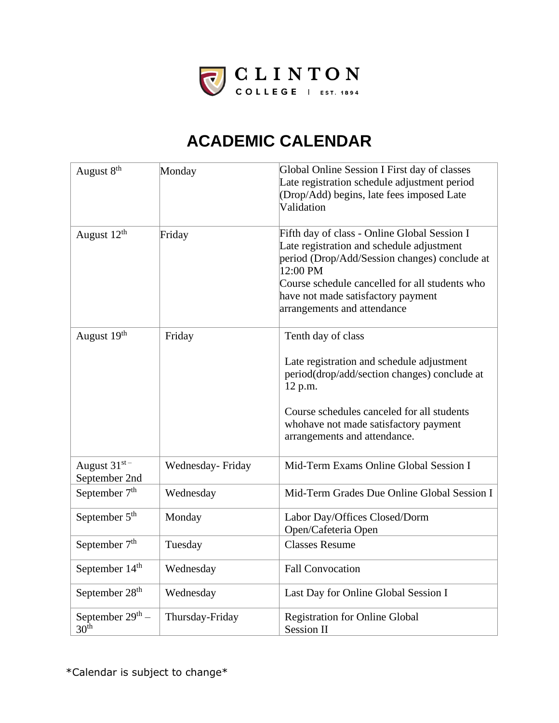

| August 8 <sup>th</sup>                 | Monday           | Global Online Session I First day of classes<br>Late registration schedule adjustment period<br>(Drop/Add) begins, late fees imposed Late<br>Validation                                                                                                                       |
|----------------------------------------|------------------|-------------------------------------------------------------------------------------------------------------------------------------------------------------------------------------------------------------------------------------------------------------------------------|
| August 12 <sup>th</sup>                | Friday           | Fifth day of class - Online Global Session I<br>Late registration and schedule adjustment<br>period (Drop/Add/Session changes) conclude at<br>12:00 PM<br>Course schedule cancelled for all students who<br>have not made satisfactory payment<br>arrangements and attendance |
| August 19th                            | Friday           | Tenth day of class                                                                                                                                                                                                                                                            |
|                                        |                  | Late registration and schedule adjustment<br>period(drop/add/section changes) conclude at<br>12 p.m.<br>Course schedules canceled for all students<br>whohave not made satisfactory payment<br>arrangements and attendance.                                                   |
| August $31^{st}$<br>September 2nd      | Wednesday-Friday | Mid-Term Exams Online Global Session I                                                                                                                                                                                                                                        |
| September 7 <sup>th</sup>              | Wednesday        | Mid-Term Grades Due Online Global Session I                                                                                                                                                                                                                                   |
| September 5 <sup>th</sup>              | Monday           | Labor Day/Offices Closed/Dorm<br>Open/Cafeteria Open                                                                                                                                                                                                                          |
| September $7th$                        | Tuesday          | <b>Classes Resume</b>                                                                                                                                                                                                                                                         |
| September 14 <sup>th</sup>             | Wednesday        | <b>Fall Convocation</b>                                                                                                                                                                                                                                                       |
| September 28 <sup>th</sup>             | Wednesday        | Last Day for Online Global Session I                                                                                                                                                                                                                                          |
| September $29th$ –<br>30 <sup>th</sup> | Thursday-Friday  | <b>Registration for Online Global</b><br><b>Session II</b>                                                                                                                                                                                                                    |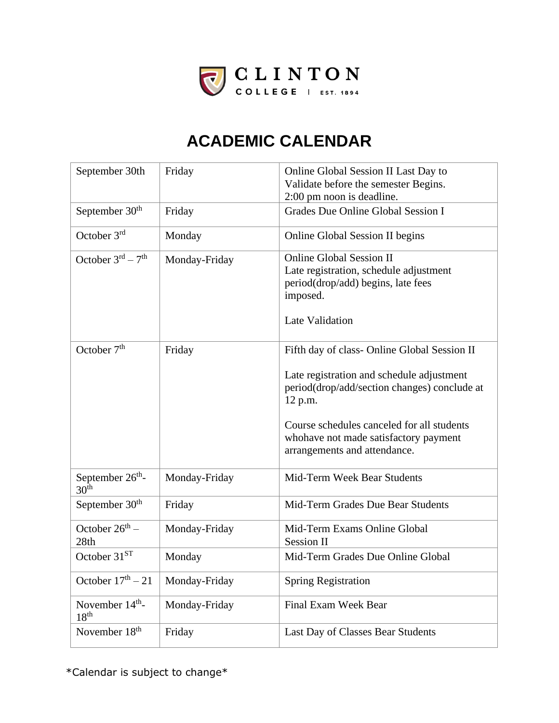

| September 30th                                   | Friday        | Online Global Session II Last Day to<br>Validate before the semester Begins.<br>2:00 pm noon is deadline.                                                                                                                                                                   |
|--------------------------------------------------|---------------|-----------------------------------------------------------------------------------------------------------------------------------------------------------------------------------------------------------------------------------------------------------------------------|
| September 30 <sup>th</sup>                       | Friday        | Grades Due Online Global Session I                                                                                                                                                                                                                                          |
| October 3rd                                      | Monday        | Online Global Session II begins                                                                                                                                                                                                                                             |
| October $3^{rd} - 7^{th}$                        | Monday-Friday | <b>Online Global Session II</b><br>Late registration, schedule adjustment<br>period(drop/add) begins, late fees<br>imposed.<br><b>Late Validation</b>                                                                                                                       |
| October $7th$                                    | Friday        | Fifth day of class- Online Global Session II<br>Late registration and schedule adjustment<br>period(drop/add/section changes) conclude at<br>12 p.m.<br>Course schedules canceled for all students<br>whohave not made satisfactory payment<br>arrangements and attendance. |
| September 26 <sup>th</sup> -<br>30 <sup>th</sup> | Monday-Friday | Mid-Term Week Bear Students                                                                                                                                                                                                                                                 |
| September 30 <sup>th</sup>                       | Friday        | Mid-Term Grades Due Bear Students                                                                                                                                                                                                                                           |
| October $26^{th}$ –<br>28th                      | Monday-Friday | Mid-Term Exams Online Global<br><b>Session II</b>                                                                                                                                                                                                                           |
| October 31 <sup>ST</sup>                         | Monday        | Mid-Term Grades Due Online Global                                                                                                                                                                                                                                           |
| October $17th - 21$                              | Monday-Friday | <b>Spring Registration</b>                                                                                                                                                                                                                                                  |
| November 14 <sup>th</sup> -<br>18 <sup>th</sup>  | Monday-Friday | Final Exam Week Bear                                                                                                                                                                                                                                                        |
| November 18 <sup>th</sup>                        | Friday        | Last Day of Classes Bear Students                                                                                                                                                                                                                                           |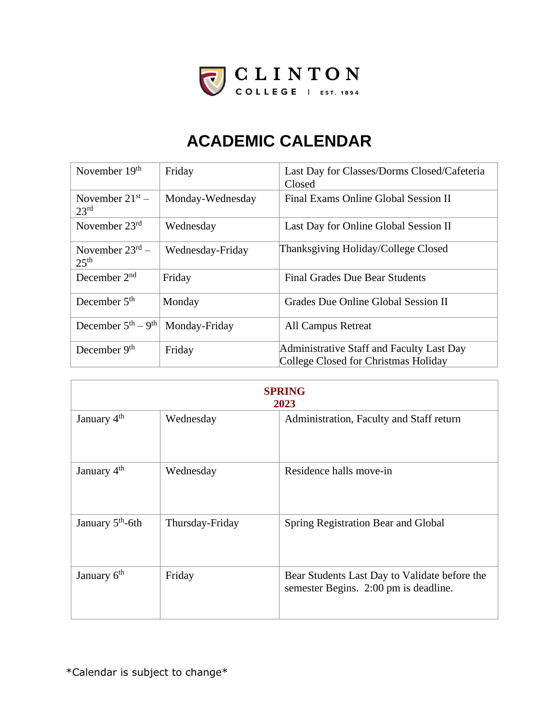

| November 19 <sup>th</sup>                | Friday           | Last Day for Classes/Dorms Closed/Cafeteria<br>Closed                             |
|------------------------------------------|------------------|-----------------------------------------------------------------------------------|
| November $21^{st}$ –<br>23 <sup>rd</sup> | Monday-Wednesday | Final Exams Online Global Session II                                              |
| November $23rd$                          | Wednesday        | Last Day for Online Global Session II                                             |
| November $23rd$ –<br>25 <sup>th</sup>    | Wednesday-Friday | Thanksgiving Holiday/College Closed                                               |
| December $2nd$                           | Friday           | <b>Final Grades Due Bear Students</b>                                             |
| December $5th$                           | Monday           | Grades Due Online Global Session II                                               |
| December $5th - 9th$                     | Monday-Friday    | <b>All Campus Retreat</b>                                                         |
| December $9th$                           | Friday           | Administrative Staff and Faculty Last Day<br>College Closed for Christmas Holiday |

| <b>SPRING</b><br>2023        |                 |                                                                                        |
|------------------------------|-----------------|----------------------------------------------------------------------------------------|
| January 4 <sup>th</sup>      | Wednesday       | Administration, Faculty and Staff return                                               |
| January 4 <sup>th</sup>      | Wednesday       | Residence halls move-in                                                                |
| January 5 <sup>th</sup> -6th | Thursday-Friday | Spring Registration Bear and Global                                                    |
| January 6 <sup>th</sup>      | Friday          | Bear Students Last Day to Validate before the<br>semester Begins. 2:00 pm is deadline. |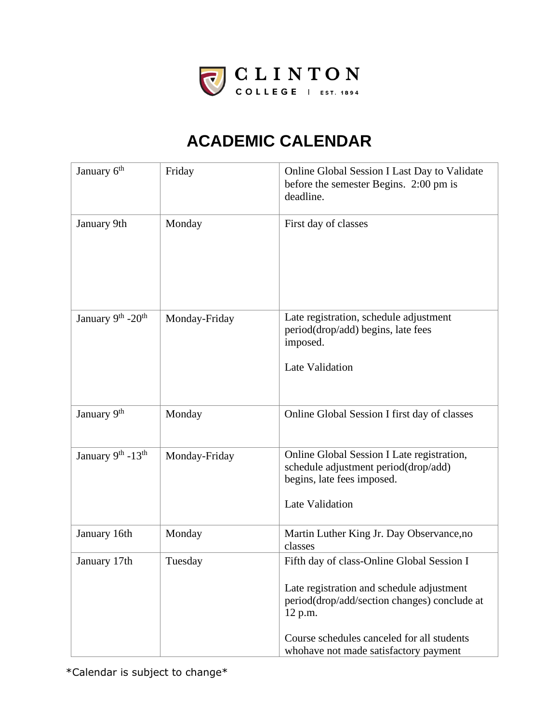

| January 6 <sup>th</sup> | Friday        | Online Global Session I Last Day to Validate<br>before the semester Begins. 2:00 pm is<br>deadline.                                                                                                                                       |
|-------------------------|---------------|-------------------------------------------------------------------------------------------------------------------------------------------------------------------------------------------------------------------------------------------|
| January 9th             | Monday        | First day of classes                                                                                                                                                                                                                      |
| January 9th -20th       | Monday-Friday | Late registration, schedule adjustment<br>period(drop/add) begins, late fees<br>imposed.<br><b>Late Validation</b>                                                                                                                        |
| January 9th             | Monday        | Online Global Session I first day of classes                                                                                                                                                                                              |
| January 9th - 13th      | Monday-Friday | Online Global Session I Late registration,<br>schedule adjustment period(drop/add)<br>begins, late fees imposed.<br><b>Late Validation</b>                                                                                                |
| January 16th            | Monday        | Martin Luther King Jr. Day Observance, no<br>classes                                                                                                                                                                                      |
| January 17th            | Tuesday       | Fifth day of class-Online Global Session I<br>Late registration and schedule adjustment<br>period(drop/add/section changes) conclude at<br>12 p.m.<br>Course schedules canceled for all students<br>whohave not made satisfactory payment |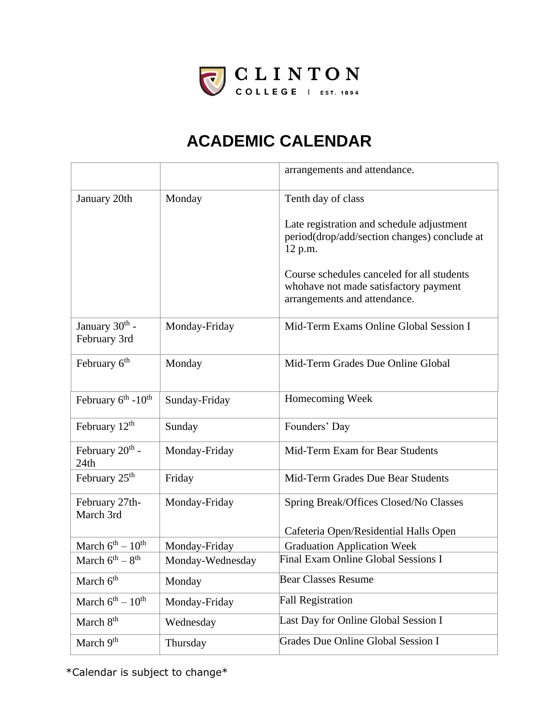

|                                             |                  | arrangements and attendance.                                                                                        |
|---------------------------------------------|------------------|---------------------------------------------------------------------------------------------------------------------|
| January 20th                                | Monday           | Tenth day of class                                                                                                  |
|                                             |                  | Late registration and schedule adjustment<br>period(drop/add/section changes) conclude at<br>12 p.m.                |
|                                             |                  | Course schedules canceled for all students<br>whohave not made satisfactory payment<br>arrangements and attendance. |
| January 30 <sup>th</sup> -<br>February 3rd  | Monday-Friday    | Mid-Term Exams Online Global Session I                                                                              |
| February 6 <sup>th</sup>                    | Monday           | Mid-Term Grades Due Online Global                                                                                   |
| February 6 <sup>th</sup> - 10 <sup>th</sup> | Sunday-Friday    | Homecoming Week                                                                                                     |
| February $12th$                             | Sunday           | Founders' Day                                                                                                       |
| February $20th$ -<br>24th                   | Monday-Friday    | Mid-Term Exam for Bear Students                                                                                     |
| February 25 <sup>th</sup>                   | Friday           | Mid-Term Grades Due Bear Students                                                                                   |
| February 27th-<br>March 3rd                 | Monday-Friday    | Spring Break/Offices Closed/No Classes                                                                              |
|                                             |                  | Cafeteria Open/Residential Halls Open                                                                               |
| March $6^{th} - 10^{th}$                    | Monday-Friday    | <b>Graduation Application Week</b>                                                                                  |
| March $6^{th} - 8^{th}$                     | Monday-Wednesday | <b>Final Exam Online Global Sessions I</b>                                                                          |
| March 6 <sup>th</sup>                       | Monday           | <b>Bear Classes Resume</b>                                                                                          |
| March $6^{th} - 10^{th}$                    | Monday-Friday    | <b>Fall Registration</b>                                                                                            |
| March 8 <sup>th</sup>                       | Wednesday        | Last Day for Online Global Session I                                                                                |
| March 9 <sup>th</sup>                       | Thursday         | Grades Due Online Global Session I                                                                                  |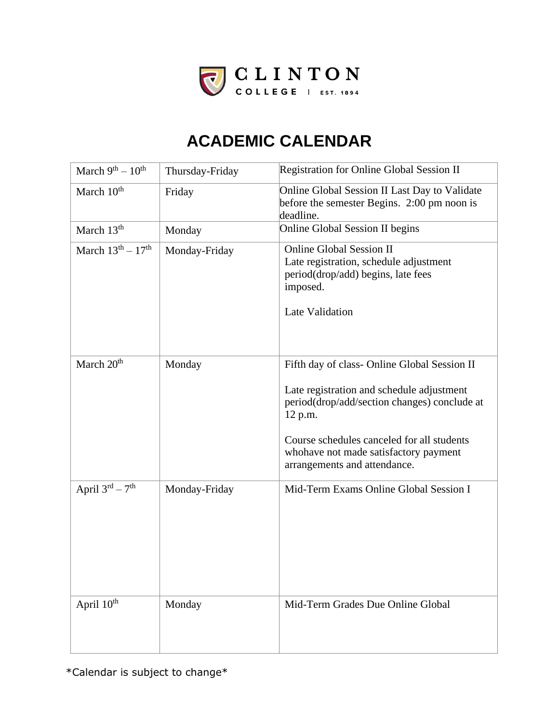

| March $9^{th} - 10^{th}$ | Thursday-Friday | Registration for Online Global Session II                                                                                                                                                                                                                                   |
|--------------------------|-----------------|-----------------------------------------------------------------------------------------------------------------------------------------------------------------------------------------------------------------------------------------------------------------------------|
| March 10 <sup>th</sup>   | Friday          | Online Global Session II Last Day to Validate<br>before the semester Begins. 2:00 pm noon is<br>deadline.                                                                                                                                                                   |
| March 13 <sup>th</sup>   | Monday          | <b>Online Global Session II begins</b>                                                                                                                                                                                                                                      |
| March $13th - 17th$      | Monday-Friday   | <b>Online Global Session II</b><br>Late registration, schedule adjustment<br>period(drop/add) begins, late fees<br>imposed.<br>Late Validation                                                                                                                              |
| March 20 <sup>th</sup>   | Monday          | Fifth day of class- Online Global Session II<br>Late registration and schedule adjustment<br>period(drop/add/section changes) conclude at<br>12 p.m.<br>Course schedules canceled for all students<br>whohave not made satisfactory payment<br>arrangements and attendance. |
| April $3^{rd} - 7^{th}$  | Monday-Friday   | Mid-Term Exams Online Global Session I                                                                                                                                                                                                                                      |
| April 10th               | Monday          | Mid-Term Grades Due Online Global                                                                                                                                                                                                                                           |